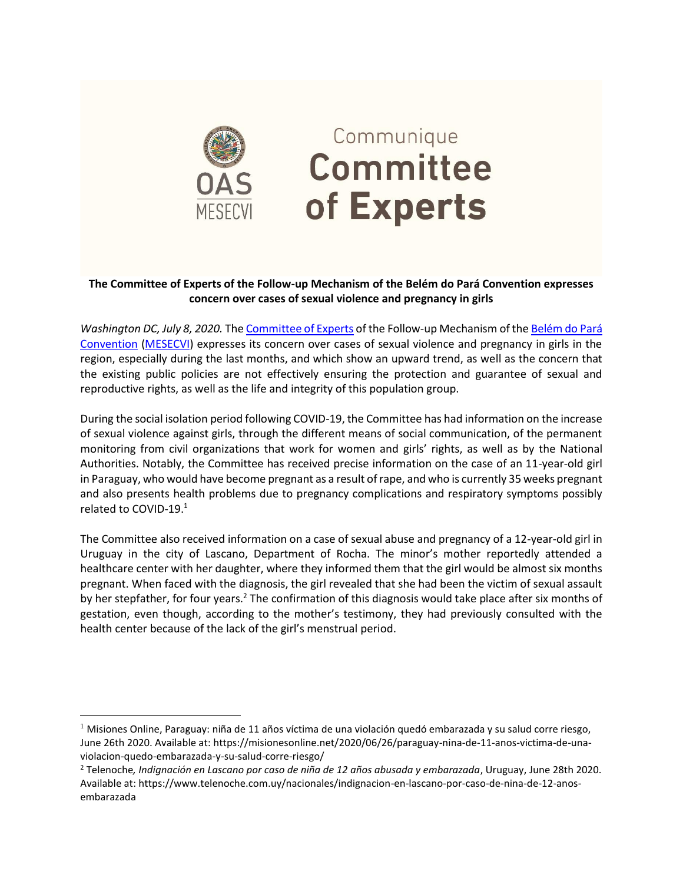

## Communique Committee of Experts

## **The Committee of Experts of the Follow-up Mechanism of the Belém do Pará Convention expresses concern over cases of sexual violence and pregnancy in girls**

*Washington DC, July 8, 2020.* Th[e Committee of Experts](https://www.oas.org/en/mesecvi/Experts.asp) of the Follow-up Mechanism of th[e Belém do Pará](https://www.oas.org/en/mesecvi/convention.asp)  [Convention](https://www.oas.org/en/mesecvi/convention.asp) [\(MESECVI\)](https://www.oas.org/en/mesecvi/about.asp) expresses its concern over cases of sexual violence and pregnancy in girls in the region, especially during the last months, and which show an upward trend, as well as the concern that the existing public policies are not effectively ensuring the protection and guarantee of sexual and reproductive rights, as well as the life and integrity of this population group.

During the social isolation period following COVID-19, the Committee has had information on the increase of sexual violence against girls, through the different means of social communication, of the permanent monitoring from civil organizations that work for women and girls' rights, as well as by the National Authorities. Notably, the Committee has received precise information on the case of an 11-year-old girl in Paraguay, who would have become pregnant as a result of rape, and who is currently 35 weeks pregnant and also presents health problems due to pregnancy complications and respiratory symptoms possibly related to COVID-19.<sup>1</sup>

The Committee also received information on a case of sexual abuse and pregnancy of a 12-year-old girl in Uruguay in the city of Lascano, Department of Rocha. The minor's mother reportedly attended a healthcare center with her daughter, where they informed them that the girl would be almost six months pregnant. When faced with the diagnosis, the girl revealed that she had been the victim of sexual assault by her stepfather, for four years.<sup>2</sup> The confirmation of this diagnosis would take place after six months of gestation, even though, according to the mother's testimony, they had previously consulted with the health center because of the lack of the girl's menstrual period.

<sup>&</sup>lt;sup>1</sup> Misiones Online, Paraguay: niña de 11 años víctima de una violación quedó embarazada y su salud corre riesgo, June 26th 2020. Available at[: https://misionesonline.net/2020/06/26/paraguay-nina-de-11-anos-victima-de-una](https://misionesonline.net/2020/06/26/paraguay-nina-de-11-anos-victima-de-una-violacion-quedo-embarazada-y-su-salud-corre-riesgo/)[violacion-quedo-embarazada-y-su-salud-corre-riesgo/](https://misionesonline.net/2020/06/26/paraguay-nina-de-11-anos-victima-de-una-violacion-quedo-embarazada-y-su-salud-corre-riesgo/)

<sup>2</sup> Telenoche*, Indignación en Lascano por caso de niña de 12 años abusada y embarazada*, Uruguay, June 28th 2020. Available at[: https://www.telenoche.com.uy/nacionales/indignacion-en-lascano-por-caso-de-nina-de-12-anos](https://www.telenoche.com.uy/nacionales/indignacion-en-lascano-por-caso-de-nina-de-12-anos-embarazada)[embarazada](https://www.telenoche.com.uy/nacionales/indignacion-en-lascano-por-caso-de-nina-de-12-anos-embarazada)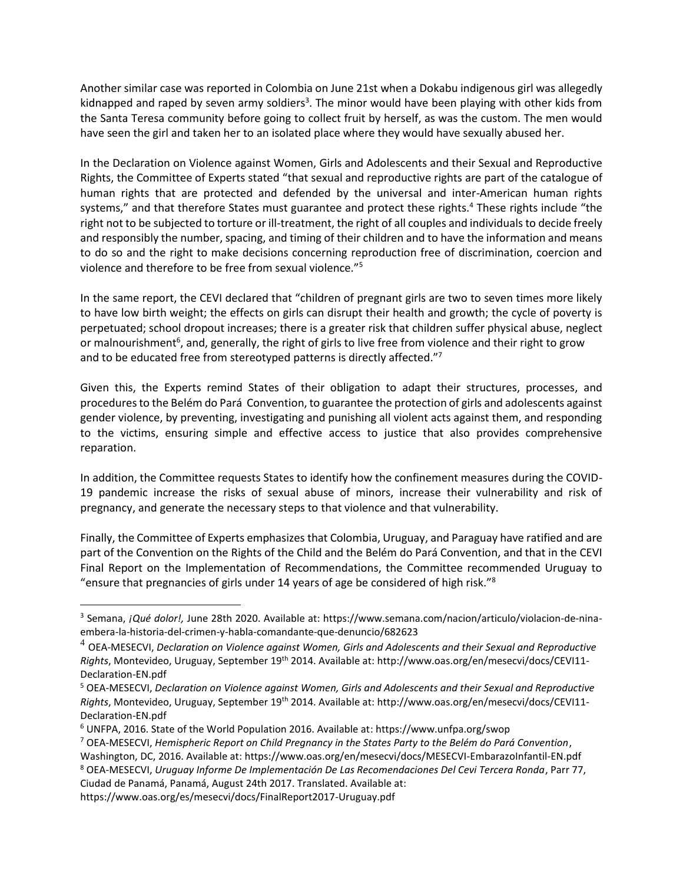Another similar case was reported in Colombia on June 21st when a Dokabu indigenous girl was allegedly kidnapped and raped by seven army soldiers<sup>3</sup>. The minor would have been playing with other kids from the Santa Teresa community before going to collect fruit by herself, as was the custom. The men would have seen the girl and taken her to an isolated place where they would have sexually abused her.

In the Declaration on Violence against Women, Girls and Adolescents and their Sexual and Reproductive Rights, the Committee of Experts stated "that sexual and reproductive rights are part of the catalogue of human rights that are protected and defended by the universal and inter-American human rights systems," and that therefore States must guarantee and protect these rights.<sup>4</sup> These rights include "the right not to be subjected to torture or ill-treatment, the right of all couples and individuals to decide freely and responsibly the number, spacing, and timing of their children and to have the information and means to do so and the right to make decisions concerning reproduction free of discrimination, coercion and violence and therefore to be free from sexual violence."<sup>5</sup>

In the same report, the CEVI declared that "children of pregnant girls are two to seven times more likely to have low birth weight; the effects on girls can disrupt their health and growth; the cycle of poverty is perpetuated; school dropout increases; there is a greater risk that children suffer physical abuse, neglect or malnourishment<sup>6</sup>, and, generally, the right of girls to live free from violence and their right to grow and to be educated free from stereotyped patterns is directly affected."<sup>7</sup>

Given this, the Experts remind States of their obligation to adapt their structures, processes, and procedures to the Belém do Pará Convention, to guarantee the protection of girls and adolescents against gender violence, by preventing, investigating and punishing all violent acts against them, and responding to the victims, ensuring simple and effective access to justice that also provides comprehensive reparation.

In addition, the Committee requests States to identify how the confinement measures during the COVID-19 pandemic increase the risks of sexual abuse of minors, increase their vulnerability and risk of pregnancy, and generate the necessary steps to that violence and that vulnerability.

Finally, the Committee of Experts emphasizes that Colombia, Uruguay, and Paraguay have ratified and are part of the Convention on the Rights of the Child and the Belém do Pará Convention, and that in the CEVI Final Report on the Implementation of Recommendations, the Committee recommended Uruguay to "ensure that pregnancies of girls under 14 years of age be considered of high risk."<sup>8</sup>

<sup>3</sup> Semana, *¡Qué dolor!,* June 28th 2020. Available at: [https://www.semana.com/nacion/articulo/violacion-de-nina](https://www.semana.com/nacion/articulo/violacion-de-nina-embera-la-historia-del-crimen-y-habla-comandante-que-denuncio/682623)[embera-la-historia-del-crimen-y-habla-comandante-que-denuncio/682623](https://www.semana.com/nacion/articulo/violacion-de-nina-embera-la-historia-del-crimen-y-habla-comandante-que-denuncio/682623)

<sup>4</sup> OEA-MESECVI, *Declaration on Violence against Women, Girls and Adolescents and their Sexual and Reproductive Rights*, Montevideo, Uruguay, September 19th 2014. Available at: [http://www.oas.org/en/mesecvi/docs/CEVI11-](http://www.oas.org/en/mesecvi/docs/CEVI11-Declaration-EN.pdf) [Declaration-EN.pdf](http://www.oas.org/en/mesecvi/docs/CEVI11-Declaration-EN.pdf)

<sup>5</sup> OEA-MESECVI, *Declaration on Violence against Women, Girls and Adolescents and their Sexual and Reproductive Rights*, Montevideo, Uruguay, September 19th 2014. Available at: [http://www.oas.org/en/mesecvi/docs/CEVI11-](http://www.oas.org/en/mesecvi/docs/CEVI11-Declaration-EN.pdf) [Declaration-EN.pdf](http://www.oas.org/en/mesecvi/docs/CEVI11-Declaration-EN.pdf)

<sup>6</sup> UNFPA, 2016. State of the World Population 2016. Available at: https://www.unfpa.org/swop

<sup>7</sup> OEA-MESECVI, *Hemispheric Report on Child Pregnancy in the States Party to the Belém do Pará Convention*,

Washington, DC, 2016. Available at[: https://www.oas.org/en/mesecvi/docs/MESECVI-EmbarazoInfantil-EN.pdf](https://www.oas.org/en/mesecvi/docs/MESECVI-EmbarazoInfantil-EN.pdf) <sup>8</sup> OEA-MESECVI, *Uruguay Informe De Implementación De Las Recomendaciones Del Cevi Tercera Ronda*, Parr 77, Ciudad de Panamá, Panamá, August 24th 2017. Translated. Available at:

<https://www.oas.org/es/mesecvi/docs/FinalReport2017-Uruguay.pdf>